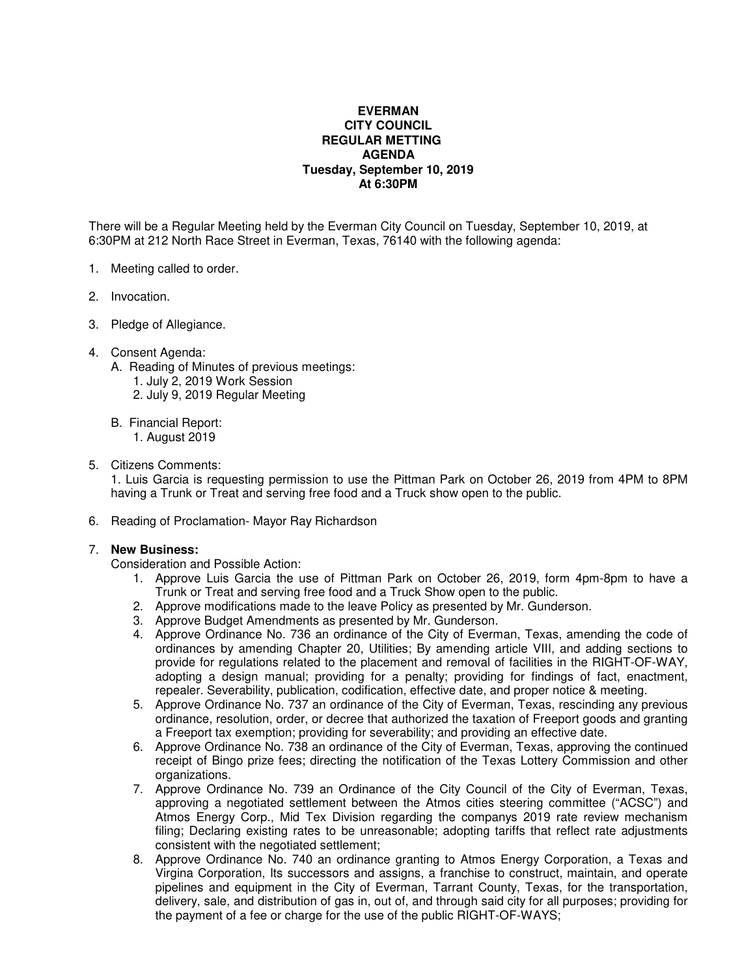## **EVERMAN CITY COUNCIL REGULAR METTING AGENDA Tuesday, September 10, 2019 At 6:30PM**

There will be a Regular Meeting held by the Everman City Council on Tuesday, September 10, 2019, at 6:30PM at 212 North Race Street in Everman, Texas, 76140 with the following agenda:

- 1. Meeting called to order.
- 2. Invocation.
- 3. Pledge of Allegiance.
- 4. Consent Agenda:
	- A. Reading of Minutes of previous meetings:
		- 1. July 2, 2019 Work Session
		- 2. July 9, 2019 Regular Meeting
	- B. Financial Report:

1. August 2019

5. Citizens Comments:

1. Luis Garcia is requesting permission to use the Pittman Park on October 26, 2019 from 4PM to 8PM having a Trunk or Treat and serving free food and a Truck show open to the public.

6. Reading of Proclamation- Mayor Ray Richardson

## 7. **New Business:**

Consideration and Possible Action:

- 1. Approve Luis Garcia the use of Pittman Park on October 26, 2019, form 4pm-8pm to have a Trunk or Treat and serving free food and a Truck Show open to the public.
- 2. Approve modifications made to the leave Policy as presented by Mr. Gunderson.
- 3. Approve Budget Amendments as presented by Mr. Gunderson.
- 4. Approve Ordinance No. 736 an ordinance of the City of Everman, Texas, amending the code of ordinances by amending Chapter 20, Utilities; By amending article VIII, and adding sections to provide for regulations related to the placement and removal of facilities in the RIGHT-OF-WAY, adopting a design manual; providing for a penalty; providing for findings of fact, enactment, repealer. Severability, publication, codification, effective date, and proper notice & meeting.
- 5. Approve Ordinance No. 737 an ordinance of the City of Everman, Texas, rescinding any previous ordinance, resolution, order, or decree that authorized the taxation of Freeport goods and granting a Freeport tax exemption; providing for severability; and providing an effective date.
- 6. Approve Ordinance No. 738 an ordinance of the City of Everman, Texas, approving the continued receipt of Bingo prize fees; directing the notification of the Texas Lottery Commission and other organizations.
- 7. Approve Ordinance No. 739 an Ordinance of the City Council of the City of Everman, Texas, approving a negotiated settlement between the Atmos cities steering committee ("ACSC") and Atmos Energy Corp., Mid Tex Division regarding the companys 2019 rate review mechanism filing; Declaring existing rates to be unreasonable; adopting tariffs that reflect rate adjustments consistent with the negotiated settlement;
- 8. Approve Ordinance No. 740 an ordinance granting to Atmos Energy Corporation, a Texas and Virgina Corporation, Its successors and assigns, a franchise to construct, maintain, and operate pipelines and equipment in the City of Everman, Tarrant County, Texas, for the transportation, delivery, sale, and distribution of gas in, out of, and through said city for all purposes; providing for the payment of a fee or charge for the use of the public RIGHT-OF-WAYS;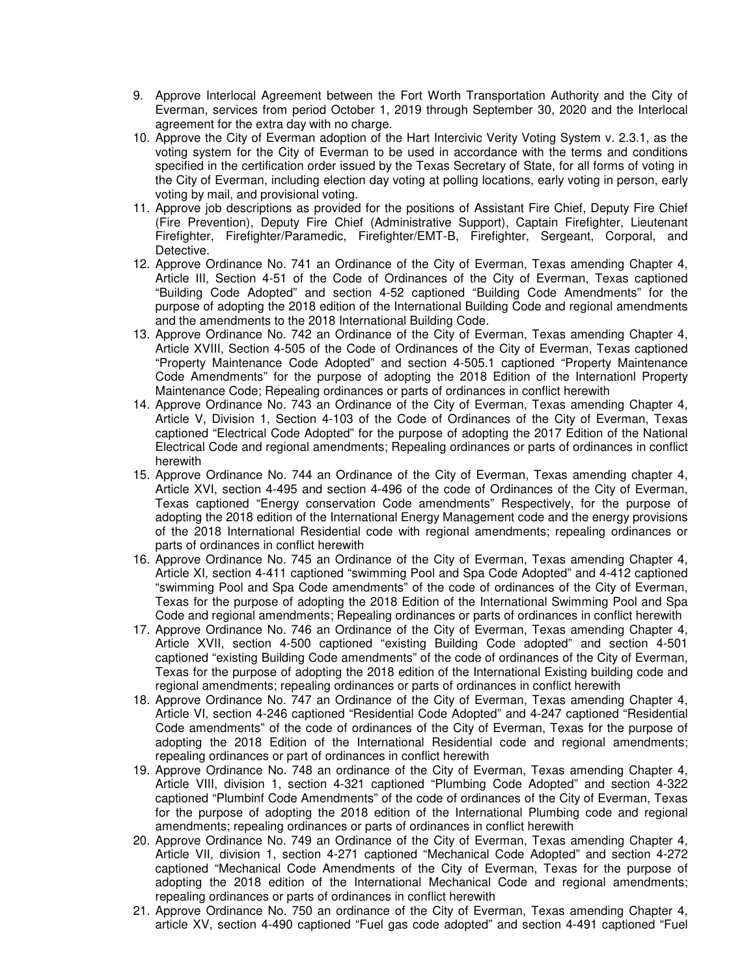- 9. Approve Interlocal Agreement between the Fort Worth Transportation Authority and the City of Everman, services from period October 1, 2019 through September 30, 2020 and the Interlocal agreement for the extra day with no charge.
- 10. Approve the City of Everman adoption of the Hart Intercivic Verity Voting System v. 2.3.1, as the voting system for the City of Everman to be used in accordance with the terms and conditions specified in the certification order issued by the Texas Secretary of State, for all forms of voting in the City of Everman, including election day voting at polling locations, early voting in person, early voting by mail, and provisional voting.
- 11. Approve job descriptions as provided for the positions of Assistant Fire Chief, Deputy Fire Chief (Fire Prevention), Deputy Fire Chief (Administrative Support), Captain Firefighter, Lieutenant Firefighter, Firefighter/Paramedic, Firefighter/EMT-B, Firefighter, Sergeant, Corporal, and Detective.
- 12. Approve Ordinance No. 741 an Ordinance of the City of Everman, Texas amending Chapter 4, Article III, Section 4-51 of the Code of Ordinances of the City of Everman, Texas captioned "Building Code Adopted" and section 4-52 captioned "Building Code Amendments" for the purpose of adopting the 2018 edition of the International Building Code and regional amendments and the amendments to the 2018 International Building Code.
- 13. Approve Ordinance No. 742 an Ordinance of the City of Everman, Texas amending Chapter 4, Article XVIII, Section 4-505 of the Code of Ordinances of the City of Everman, Texas captioned "Property Maintenance Code Adopted" and section 4-505.1 captioned "Property Maintenance Code Amendments" for the purpose of adopting the 2018 Edition of the Internationl Property Maintenance Code; Repealing ordinances or parts of ordinances in conflict herewith
- 14. Approve Ordinance No. 743 an Ordinance of the City of Everman, Texas amending Chapter 4, Article V, Division 1, Section 4-103 of the Code of Ordinances of the City of Everman, Texas captioned "Electrical Code Adopted" for the purpose of adopting the 2017 Edition of the National Electrical Code and regional amendments; Repealing ordinances or parts of ordinances in conflict herewith
- 15. Approve Ordinance No. 744 an Ordinance of the City of Everman, Texas amending chapter 4, Article XVI, section 4-495 and section 4-496 of the code of Ordinances of the City of Everman, Texas captioned "Energy conservation Code amendments" Respectively, for the purpose of adopting the 2018 edition of the International Energy Management code and the energy provisions of the 2018 International Residential code with regional amendments; repealing ordinances or parts of ordinances in conflict herewith
- 16. Approve Ordinance No. 745 an Ordinance of the City of Everman, Texas amending Chapter 4, Article XI, section 4-411 captioned "swimming Pool and Spa Code Adopted" and 4-412 captioned "swimming Pool and Spa Code amendments" of the code of ordinances of the City of Everman, Texas for the purpose of adopting the 2018 Edition of the International Swimming Pool and Spa Code and regional amendments; Repealing ordinances or parts of ordinances in conflict herewith
- 17. Approve Ordinance No. 746 an Ordinance of the City of Everman, Texas amending Chapter 4, Article XVII, section 4-500 captioned "existing Building Code adopted" and section 4-501 captioned "existing Building Code amendments" of the code of ordinances of the City of Everman, Texas for the purpose of adopting the 2018 edition of the International Existing building code and regional amendments; repealing ordinances or parts of ordinances in conflict herewith
- 18. Approve Ordinance No. 747 an Ordinance of the City of Everman, Texas amending Chapter 4, Article VI, section 4-246 captioned "Residential Code Adopted" and 4-247 captioned "Residential Code amendments" of the code of ordinances of the City of Everman, Texas for the purpose of adopting the 2018 Edition of the International Residential code and regional amendments; repealing ordinances or part of ordinances in conflict herewith
- 19. Approve Ordinance No. 748 an ordinance of the City of Everman, Texas amending Chapter 4, Article VIII, division 1, section 4-321 captioned "Plumbing Code Adopted" and section 4-322 captioned "Plumbinf Code Amendments" of the code of ordinances of the City of Everman, Texas for the purpose of adopting the 2018 edition of the International Plumbing code and regional amendments; repealing ordinances or parts of ordinances in conflict herewith
- 20. Approve Ordinance No. 749 an Ordinance of the City of Everman, Texas amending Chapter 4, Article VII, division 1, section 4-271 captioned "Mechanical Code Adopted" and section 4-272 captioned "Mechanical Code Amendments of the City of Everman, Texas for the purpose of adopting the 2018 edition of the International Mechanical Code and regional amendments; repealing ordinances or parts of ordinances in conflict herewith
- 21. Approve Ordinance No. 750 an ordinance of the City of Everman, Texas amending Chapter 4, article XV, section 4-490 captioned "Fuel gas code adopted" and section 4-491 captioned "Fuel